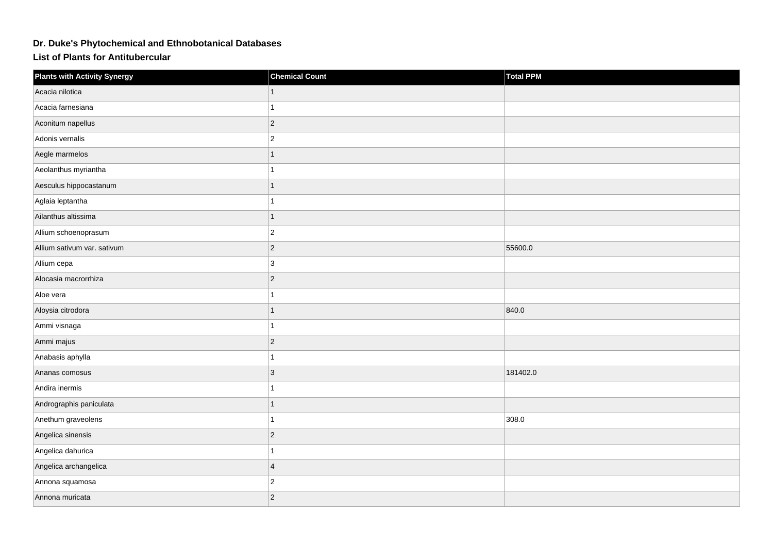## **Dr. Duke's Phytochemical and Ethnobotanical Databases**

**List of Plants for Antitubercular**

| <b>Plants with Activity Synergy</b> | <b>Chemical Count</b> | <b>Total PPM</b> |
|-------------------------------------|-----------------------|------------------|
| Acacia nilotica                     |                       |                  |
| Acacia farnesiana                   |                       |                  |
| Aconitum napellus                   | $ 2\rangle$           |                  |
| Adonis vernalis                     | $ 2\rangle$           |                  |
| Aegle marmelos                      |                       |                  |
| Aeolanthus myriantha                |                       |                  |
| Aesculus hippocastanum              |                       |                  |
| Aglaia leptantha                    |                       |                  |
| Ailanthus altissima                 | $\mathbf 1$           |                  |
| Allium schoenoprasum                | $ 2\rangle$           |                  |
| Allium sativum var. sativum         | $ 2\rangle$           | 55600.0          |
| Allium cepa                         | 3                     |                  |
| Alocasia macrorrhiza                | $ 2\rangle$           |                  |
| Aloe vera                           |                       |                  |
| Aloysia citrodora                   |                       | 840.0            |
| Ammi visnaga                        |                       |                  |
| Ammi majus                          | $ 2\rangle$           |                  |
| Anabasis aphylla                    |                       |                  |
| Ananas comosus                      | $ 3\rangle$           | 181402.0         |
| Andira inermis                      |                       |                  |
| Andrographis paniculata             |                       |                  |
| Anethum graveolens                  |                       | 308.0            |
| Angelica sinensis                   | $ 2\rangle$           |                  |
| Angelica dahurica                   |                       |                  |
| Angelica archangelica               | 4                     |                  |
| Annona squamosa                     | $ 2\rangle$           |                  |
| Annona muricata                     | 2                     |                  |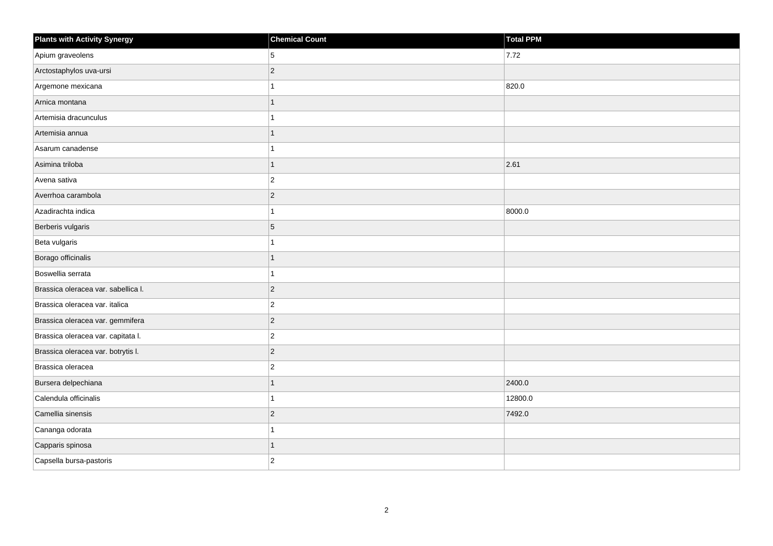| <b>Plants with Activity Synergy</b> | <b>Chemical Count</b> | <b>Total PPM</b> |
|-------------------------------------|-----------------------|------------------|
| Apium graveolens                    | 5                     | 7.72             |
| Arctostaphylos uva-ursi             | $ 2\rangle$           |                  |
| Argemone mexicana                   | 1                     | 820.0            |
| Arnica montana                      | $\mathbf{1}$          |                  |
| Artemisia dracunculus               | 1                     |                  |
| Artemisia annua                     | 1                     |                  |
| Asarum canadense                    | 1                     |                  |
| Asimina triloba                     | 1                     | 2.61             |
| Avena sativa                        | $ 2\rangle$           |                  |
| Averrhoa carambola                  | 2                     |                  |
| Azadirachta indica                  | 1                     | 8000.0           |
| Berberis vulgaris                   | 5                     |                  |
| Beta vulgaris                       | 1                     |                  |
| Borago officinalis                  | $\mathbf{1}$          |                  |
| Boswellia serrata                   | $\mathbf{1}$          |                  |
| Brassica oleracea var. sabellica I. | $ 2\rangle$           |                  |
| Brassica oleracea var. italica      | $\overline{2}$        |                  |
| Brassica oleracea var. gemmifera    | $ 2\rangle$           |                  |
| Brassica oleracea var. capitata I.  | $\vert$ 2             |                  |
| Brassica oleracea var. botrytis I.  | $ 2\rangle$           |                  |
| Brassica oleracea                   | $\vert$ 2             |                  |
| Bursera delpechiana                 | $\overline{1}$        | 2400.0           |
| Calendula officinalis               | 1                     | 12800.0          |
| Camellia sinensis                   | $ 2\rangle$           | 7492.0           |
| Cananga odorata                     | $\mathbf{1}$          |                  |
| Capparis spinosa                    | 1                     |                  |
| Capsella bursa-pastoris             | $\overline{2}$        |                  |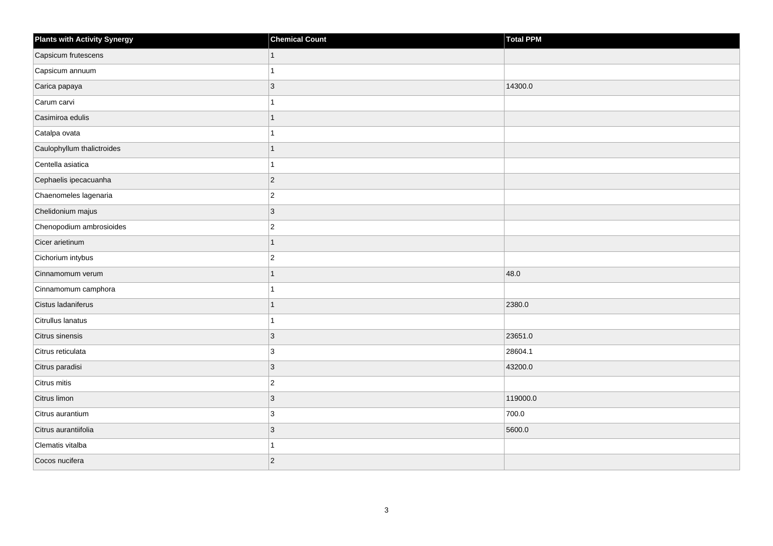| <b>Plants with Activity Synergy</b> | <b>Chemical Count</b> | Total PPM |
|-------------------------------------|-----------------------|-----------|
| Capsicum frutescens                 |                       |           |
| Capsicum annuum                     |                       |           |
| Carica papaya                       | $\overline{3}$        | 14300.0   |
| Carum carvi                         |                       |           |
| Casimiroa edulis                    | 1                     |           |
| Catalpa ovata                       |                       |           |
| Caulophyllum thalictroides          |                       |           |
| Centella asiatica                   |                       |           |
| Cephaelis ipecacuanha               | $\overline{2}$        |           |
| Chaenomeles lagenaria               | $\overline{2}$        |           |
| Chelidonium majus                   | 3                     |           |
| Chenopodium ambrosioides            | $\overline{c}$        |           |
| Cicer arietinum                     | $\overline{1}$        |           |
| Cichorium intybus                   | $\overline{2}$        |           |
| Cinnamomum verum                    |                       | 48.0      |
| Cinnamomum camphora                 |                       |           |
| Cistus ladaniferus                  |                       | 2380.0    |
| Citrullus lanatus                   |                       |           |
| Citrus sinensis                     | $\overline{3}$        | 23651.0   |
| Citrus reticulata                   | 3                     | 28604.1   |
| Citrus paradisi                     | 3                     | 43200.0   |
| Citrus mitis                        | $\overline{c}$        |           |
| Citrus limon                        | 3                     | 119000.0  |
| Citrus aurantium                    | 3                     | 700.0     |
| Citrus aurantiifolia                | $\overline{3}$        | 5600.0    |
| Clematis vitalba                    |                       |           |
| Cocos nucifera                      | $\overline{2}$        |           |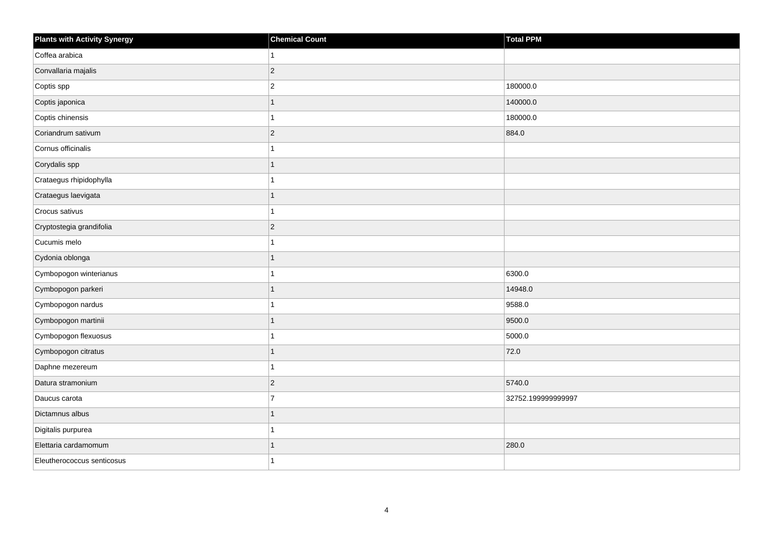| Plants with Activity Synergy | <b>Chemical Count</b> | Total PPM          |
|------------------------------|-----------------------|--------------------|
| Coffea arabica               | 1                     |                    |
| Convallaria majalis          | $ 2\rangle$           |                    |
| Coptis spp                   | $\overline{2}$        | 180000.0           |
| Coptis japonica              | $\mathbf{1}$          | 140000.0           |
| Coptis chinensis             | 1                     | 180000.0           |
| Coriandrum sativum           | $ 2\rangle$           | 884.0              |
| Cornus officinalis           | 1                     |                    |
| Corydalis spp                | 1                     |                    |
| Crataegus rhipidophylla      | 1                     |                    |
| Crataegus laevigata          | $\mathbf{1}$          |                    |
| Crocus sativus               | 1                     |                    |
| Cryptostegia grandifolia     | $ 2\rangle$           |                    |
| Cucumis melo                 | 1                     |                    |
| Cydonia oblonga              | $\mathbf{1}$          |                    |
| Cymbopogon winterianus       | 1                     | 6300.0             |
| Cymbopogon parkeri           | $\overline{1}$        | 14948.0            |
| Cymbopogon nardus            | 1                     | 9588.0             |
| Cymbopogon martinii          | $\overline{1}$        | 9500.0             |
| Cymbopogon flexuosus         | $\mathbf{1}$          | 5000.0             |
| Cymbopogon citratus          | 1                     | 72.0               |
| Daphne mezereum              | 1                     |                    |
| Datura stramonium            | $ 2\rangle$           | 5740.0             |
| Daucus carota                | $\overline{7}$        | 32752.199999999997 |
| Dictamnus albus              | 1                     |                    |
| Digitalis purpurea           | $\mathbf{1}$          |                    |
| Elettaria cardamomum         | 1                     | 280.0              |
| Eleutherococcus senticosus   | 1                     |                    |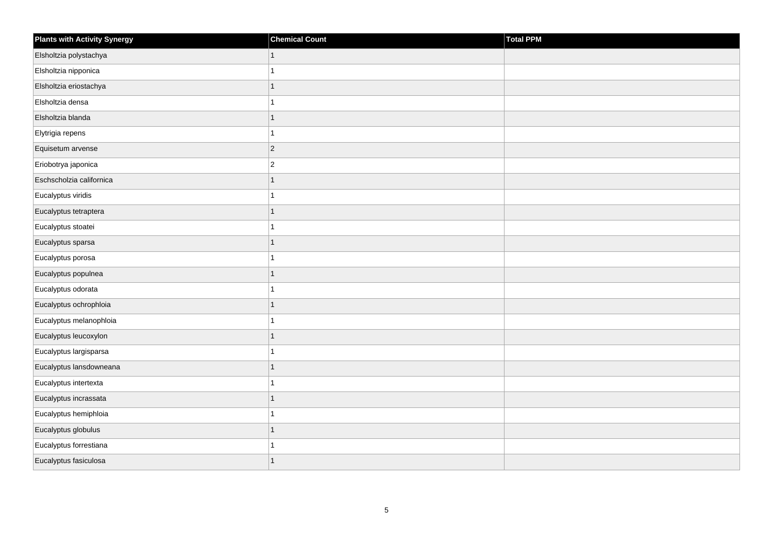| <b>Plants with Activity Synergy</b> | <b>Chemical Count</b> | Total PPM |
|-------------------------------------|-----------------------|-----------|
| Elsholtzia polystachya              | $\mathbf{1}$          |           |
| Elsholtzia nipponica                | 1                     |           |
| Elsholtzia eriostachya              | 1                     |           |
| Elsholtzia densa                    | 1                     |           |
| Elsholtzia blanda                   | $\overline{1}$        |           |
| Elytrigia repens                    | 1                     |           |
| Equisetum arvense                   | $\overline{c}$        |           |
| Eriobotrya japonica                 | $\overline{c}$        |           |
| Eschscholzia californica            | 1                     |           |
| Eucalyptus viridis                  | 1                     |           |
| Eucalyptus tetraptera               | $\overline{1}$        |           |
| Eucalyptus stoatei                  | 1                     |           |
| Eucalyptus sparsa                   | $\overline{1}$        |           |
| Eucalyptus porosa                   | 1                     |           |
| Eucalyptus populnea                 | $\overline{1}$        |           |
| Eucalyptus odorata                  | $\overline{1}$        |           |
| Eucalyptus ochrophloia              | 1                     |           |
| Eucalyptus melanophloia             |                       |           |
| Eucalyptus leucoxylon               | $\overline{1}$        |           |
| Eucalyptus largisparsa              | 1                     |           |
| Eucalyptus lansdowneana             | 1                     |           |
| Eucalyptus intertexta               | 1                     |           |
| Eucalyptus incrassata               | 1                     |           |
| Eucalyptus hemiphloia               |                       |           |
| Eucalyptus globulus                 | $\mathbf{1}$          |           |
| Eucalyptus forrestiana              |                       |           |
| Eucalyptus fasiculosa               | $\overline{1}$        |           |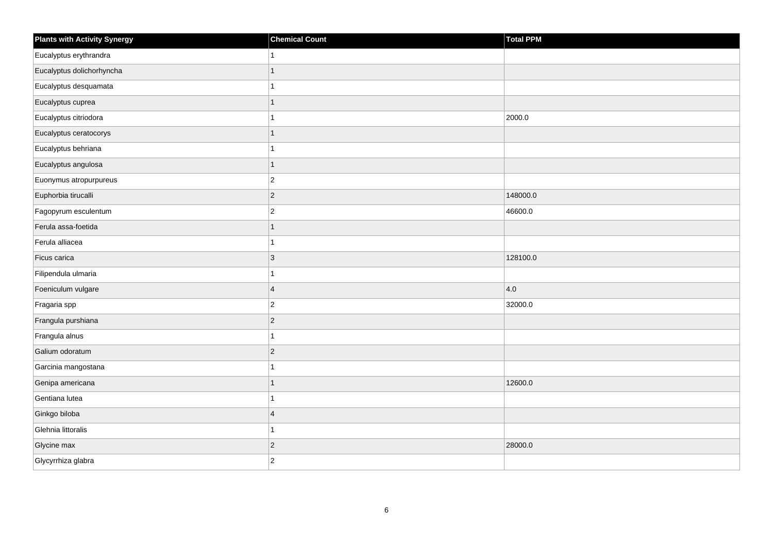| <b>Plants with Activity Synergy</b> | <b>Chemical Count</b> | <b>Total PPM</b> |
|-------------------------------------|-----------------------|------------------|
| Eucalyptus erythrandra              | 1                     |                  |
| Eucalyptus dolichorhyncha           | $\overline{1}$        |                  |
| Eucalyptus desquamata               | 1                     |                  |
| Eucalyptus cuprea                   | $\overline{1}$        |                  |
| Eucalyptus citriodora               | 1                     | 2000.0           |
| Eucalyptus ceratocorys              | $\overline{1}$        |                  |
| Eucalyptus behriana                 | 1                     |                  |
| Eucalyptus angulosa                 | $\overline{1}$        |                  |
| Euonymus atropurpureus              | $\overline{2}$        |                  |
| Euphorbia tirucalli                 | $\overline{c}$        | 148000.0         |
| Fagopyrum esculentum                | $\overline{2}$        | 46600.0          |
| Ferula assa-foetida                 | $\overline{1}$        |                  |
| Ferula alliacea                     | $\overline{1}$        |                  |
| Ficus carica                        | 3                     | 128100.0         |
| Filipendula ulmaria                 | 1                     |                  |
| Foeniculum vulgare                  | $\overline{4}$        | 4.0              |
| Fragaria spp                        | $\overline{c}$        | 32000.0          |
| Frangula purshiana                  | $\overline{2}$        |                  |
| Frangula alnus                      | $\overline{1}$        |                  |
| Galium odoratum                     | $\mathbf{2}$          |                  |
| Garcinia mangostana                 |                       |                  |
| Genipa americana                    | $\overline{1}$        | 12600.0          |
| Gentiana lutea                      | 1                     |                  |
| Ginkgo biloba                       | $\overline{4}$        |                  |
| Glehnia littoralis                  | 1                     |                  |
| Glycine max                         | $\overline{c}$        | 28000.0          |
| Glycyrrhiza glabra                  | $\overline{2}$        |                  |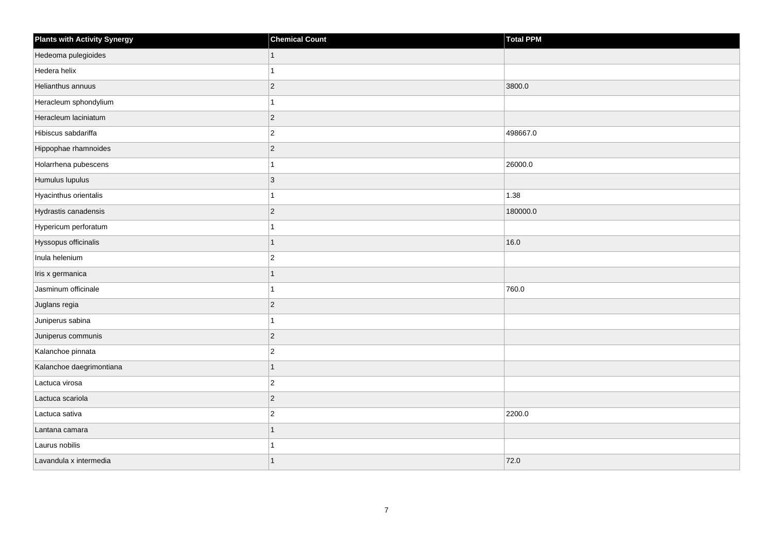| <b>Plants with Activity Synergy</b> | <b>Chemical Count</b> | <b>Total PPM</b> |
|-------------------------------------|-----------------------|------------------|
| Hedeoma pulegioides                 | 1                     |                  |
| Hedera helix                        |                       |                  |
| Helianthus annuus                   | $\overline{c}$        | 3800.0           |
| Heracleum sphondylium               |                       |                  |
| Heracleum laciniatum                | $\overline{2}$        |                  |
| Hibiscus sabdariffa                 | $\overline{c}$        | 498667.0         |
| Hippophae rhamnoides                | $\overline{2}$        |                  |
| Holarrhena pubescens                |                       | 26000.0          |
| Humulus lupulus                     | $\overline{3}$        |                  |
| Hyacinthus orientalis               |                       | 1.38             |
| Hydrastis canadensis                | $\overline{2}$        | 180000.0         |
| Hypericum perforatum                |                       |                  |
| Hyssopus officinalis                | 1                     | 16.0             |
| Inula helenium                      | $\overline{2}$        |                  |
| Iris x germanica                    |                       |                  |
| Jasminum officinale                 |                       | 760.0            |
| Juglans regia                       | $\overline{2}$        |                  |
| Juniperus sabina                    |                       |                  |
| Juniperus communis                  | $\overline{2}$        |                  |
| Kalanchoe pinnata                   | $\overline{2}$        |                  |
| Kalanchoe daegrimontiana            | 1                     |                  |
| Lactuca virosa                      | $\overline{2}$        |                  |
| Lactuca scariola                    | $\overline{2}$        |                  |
| Lactuca sativa                      | $\overline{c}$        | 2200.0           |
| Lantana camara                      | 1                     |                  |
| Laurus nobilis                      |                       |                  |
| Lavandula x intermedia              | 1                     | 72.0             |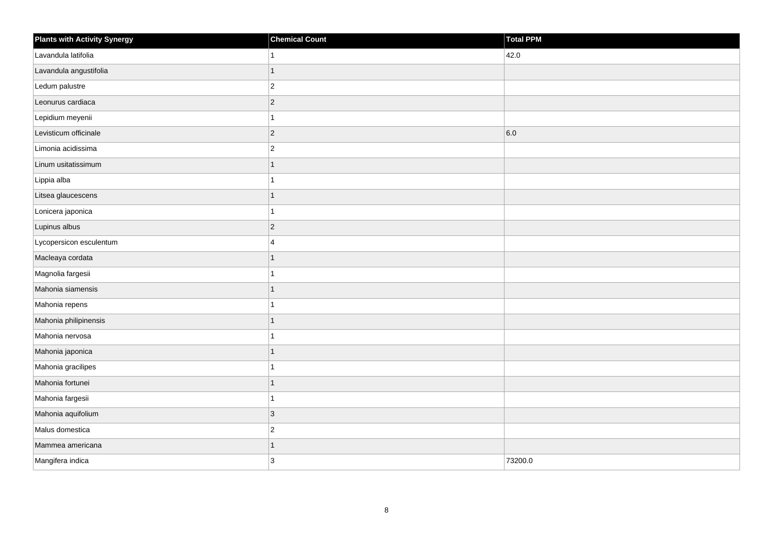| <b>Plants with Activity Synergy</b> | <b>Chemical Count</b> | <b>Total PPM</b> |
|-------------------------------------|-----------------------|------------------|
| Lavandula latifolia                 | 1                     | 42.0             |
| Lavandula angustifolia              | 1                     |                  |
| Ledum palustre                      | $ 2\rangle$           |                  |
| Leonurus cardiaca                   | $ 2\rangle$           |                  |
| Lepidium meyenii                    | 1                     |                  |
| Levisticum officinale               | $ 2\rangle$           | 6.0              |
| Limonia acidissima                  | $ 2\rangle$           |                  |
| Linum usitatissimum                 | 1                     |                  |
| Lippia alba                         | 1                     |                  |
| Litsea glaucescens                  | $\mathbf{1}$          |                  |
| Lonicera japonica                   | 1                     |                  |
| Lupinus albus                       | $ 2\rangle$           |                  |
| Lycopersicon esculentum             | $\overline{4}$        |                  |
| Macleaya cordata                    | $\mathbf{1}$          |                  |
| Magnolia fargesii                   | 1                     |                  |
| Mahonia siamensis                   | $\mathbf{1}$          |                  |
| Mahonia repens                      | 1                     |                  |
| Mahonia philipinensis               | 1                     |                  |
| Mahonia nervosa                     | 1                     |                  |
| Mahonia japonica                    | $\mathbf{1}$          |                  |
| Mahonia gracilipes                  | $\mathbf{1}$          |                  |
| Mahonia fortunei                    | $\overline{1}$        |                  |
| Mahonia fargesii                    | 1                     |                  |
| Mahonia aquifolium                  | 3                     |                  |
| Malus domestica                     | $\vert$ 2             |                  |
| Mammea americana                    | 1                     |                  |
| Mangifera indica                    | 3                     | 73200.0          |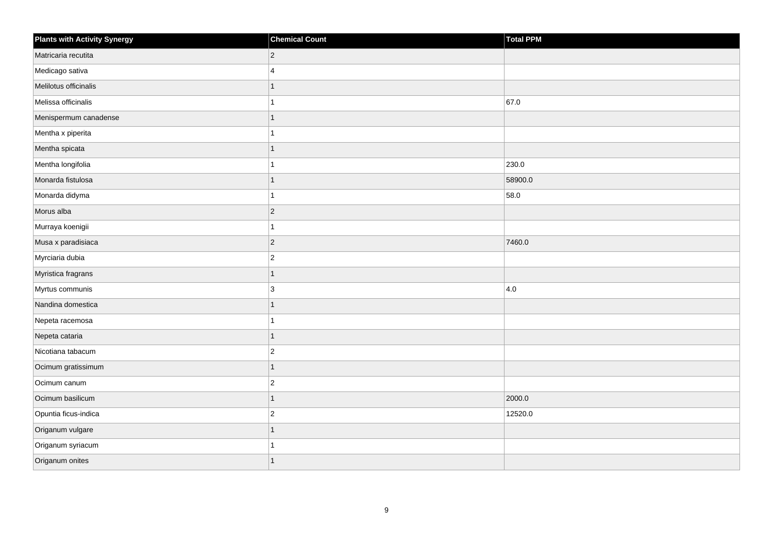| <b>Plants with Activity Synergy</b> | <b>Chemical Count</b> | Total PPM |
|-------------------------------------|-----------------------|-----------|
| Matricaria recutita                 | $\overline{2}$        |           |
| Medicago sativa                     | $\boldsymbol{\Delta}$ |           |
| Melilotus officinalis               |                       |           |
| Melissa officinalis                 |                       | 67.0      |
| Menispermum canadense               |                       |           |
| Mentha x piperita                   |                       |           |
| Mentha spicata                      | 1                     |           |
| Mentha longifolia                   |                       | 230.0     |
| Monarda fistulosa                   |                       | 58900.0   |
| Monarda didyma                      |                       | 58.0      |
| Morus alba                          | $\overline{2}$        |           |
| Murraya koenigii                    |                       |           |
| Musa x paradisiaca                  | $\overline{2}$        | 7460.0    |
| Myrciaria dubia                     | $\overline{2}$        |           |
| Myristica fragrans                  | 1                     |           |
| Myrtus communis                     | 3                     | 4.0       |
| Nandina domestica                   |                       |           |
| Nepeta racemosa                     |                       |           |
| Nepeta cataria                      | $\overline{1}$        |           |
| Nicotiana tabacum                   | $\overline{2}$        |           |
| Ocimum gratissimum                  | 1                     |           |
| Ocimum canum                        | $\overline{c}$        |           |
| Ocimum basilicum                    |                       | 2000.0    |
| Opuntia ficus-indica                | $\overline{2}$        | 12520.0   |
| Origanum vulgare                    | $\overline{1}$        |           |
| Origanum syriacum                   |                       |           |
| Origanum onites                     |                       |           |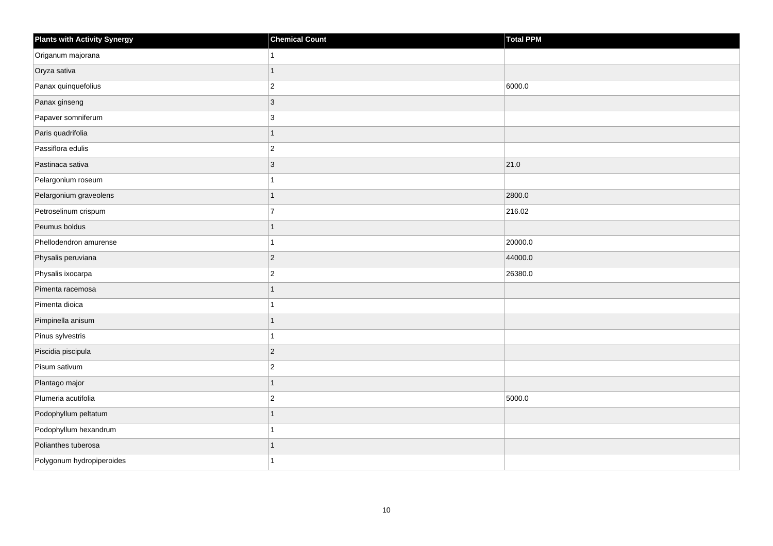| <b>Plants with Activity Synergy</b> | <b>Chemical Count</b> | Total PPM |
|-------------------------------------|-----------------------|-----------|
| Origanum majorana                   |                       |           |
| Oryza sativa                        | 1                     |           |
| Panax quinquefolius                 | $\overline{2}$        | 6000.0    |
| Panax ginseng                       | $\overline{3}$        |           |
| Papaver somniferum                  | 3                     |           |
| Paris quadrifolia                   | 1                     |           |
| Passiflora edulis                   | $\overline{2}$        |           |
| Pastinaca sativa                    | 3                     | 21.0      |
| Pelargonium roseum                  |                       |           |
| Pelargonium graveolens              | 1                     | 2800.0    |
| Petroselinum crispum                | $\overline{7}$        | 216.02    |
| Peumus boldus                       |                       |           |
| Phellodendron amurense              | 1                     | 20000.0   |
| Physalis peruviana                  | $\overline{2}$        | 44000.0   |
| Physalis ixocarpa                   | $\overline{a}$        | 26380.0   |
| Pimenta racemosa                    | 1                     |           |
| Pimenta dioica                      |                       |           |
| Pimpinella anisum                   |                       |           |
| Pinus sylvestris                    | 1                     |           |
| Piscidia piscipula                  | $\overline{2}$        |           |
| Pisum sativum                       | $\overline{2}$        |           |
| Plantago major                      | 1                     |           |
| Plumeria acutifolia                 | $\overline{2}$        | 5000.0    |
| Podophyllum peltatum                |                       |           |
| Podophyllum hexandrum               | 1                     |           |
| Polianthes tuberosa                 |                       |           |
| Polygonum hydropiperoides           |                       |           |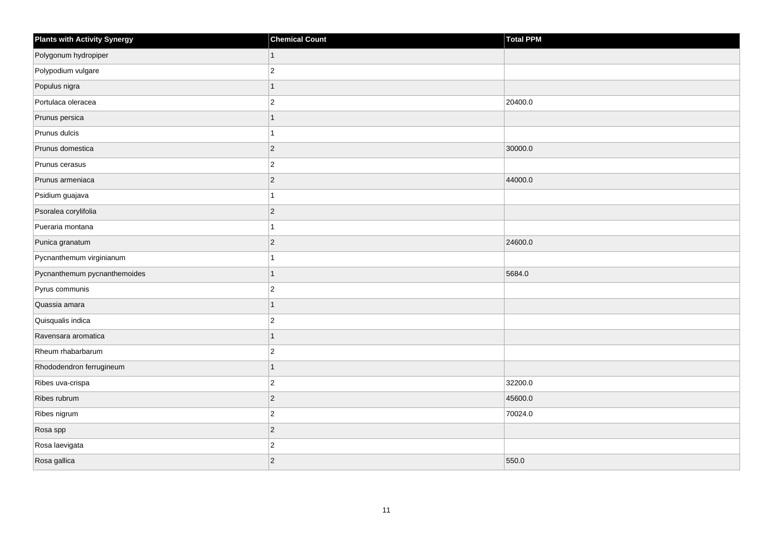| <b>Plants with Activity Synergy</b> | <b>Chemical Count</b> | <b>Total PPM</b> |
|-------------------------------------|-----------------------|------------------|
| Polygonum hydropiper                | 1                     |                  |
| Polypodium vulgare                  | $\overline{2}$        |                  |
| Populus nigra                       | 1                     |                  |
| Portulaca oleracea                  | $\overline{2}$        | 20400.0          |
| Prunus persica                      |                       |                  |
| Prunus dulcis                       |                       |                  |
| Prunus domestica                    | $\overline{2}$        | 30000.0          |
| Prunus cerasus                      | $\overline{2}$        |                  |
| Prunus armeniaca                    | $\overline{c}$        | 44000.0          |
| Psidium guajava                     |                       |                  |
| Psoralea corylifolia                | $\overline{2}$        |                  |
| Pueraria montana                    |                       |                  |
| Punica granatum                     | $\overline{2}$        | 24600.0          |
| Pycnanthemum virginianum            |                       |                  |
| Pycnanthemum pycnanthemoides        | 1                     | 5684.0           |
| Pyrus communis                      | $\overline{2}$        |                  |
| Quassia amara                       |                       |                  |
| Quisqualis indica                   | $\overline{c}$        |                  |
| Ravensara aromatica                 | $\overline{1}$        |                  |
| Rheum rhabarbarum                   | $\overline{2}$        |                  |
| Rhododendron ferrugineum            | 1                     |                  |
| Ribes uva-crispa                    | $\overline{2}$        | 32200.0          |
| Ribes rubrum                        | $\overline{2}$        | 45600.0          |
| Ribes nigrum                        | $\overline{c}$        | 70024.0          |
| Rosa spp                            | $\overline{2}$        |                  |
| Rosa laevigata                      | $\overline{2}$        |                  |
| Rosa gallica                        | $\overline{c}$        | 550.0            |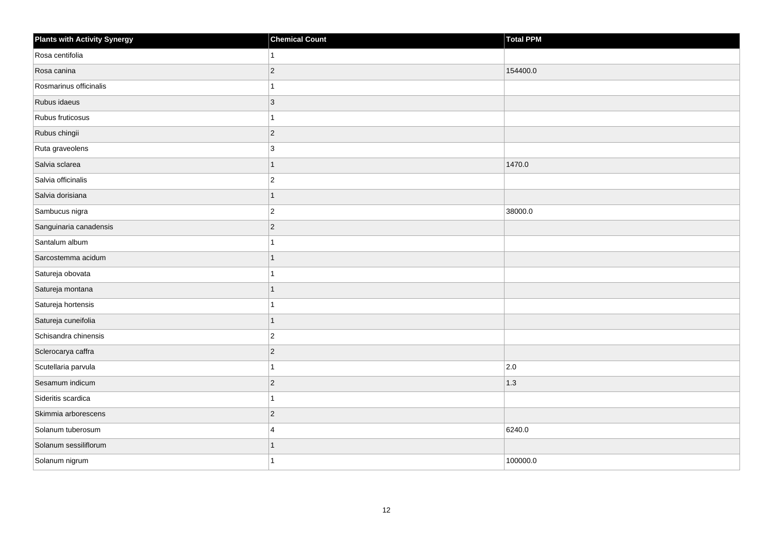| <b>Plants with Activity Synergy</b> | <b>Chemical Count</b>   | Total PPM |
|-------------------------------------|-------------------------|-----------|
| Rosa centifolia                     | 1                       |           |
| Rosa canina                         | $ 2\rangle$             | 154400.0  |
| Rosmarinus officinalis              | 1                       |           |
| Rubus idaeus                        | $ 3\rangle$             |           |
| Rubus fruticosus                    | 1                       |           |
| Rubus chingii                       | $ 2\rangle$             |           |
| Ruta graveolens                     | 3                       |           |
| Salvia sclarea                      | $\mathbf{1}$            | 1470.0    |
| Salvia officinalis                  | $ 2\rangle$             |           |
| Salvia dorisiana                    | $\overline{1}$          |           |
| Sambucus nigra                      | $ 2\rangle$             | 38000.0   |
| Sanguinaria canadensis              | $ 2\rangle$             |           |
| Santalum album                      | 1                       |           |
| Sarcostemma acidum                  | $\mathbf{1}$            |           |
| Satureja obovata                    | 1                       |           |
| Satureja montana                    | 1                       |           |
| Satureja hortensis                  | 1                       |           |
| Satureja cuneifolia                 | $\overline{1}$          |           |
| Schisandra chinensis                | $ 2\rangle$             |           |
| Sclerocarya caffra                  | $ 2\rangle$             |           |
| Scutellaria parvula                 | $\mathbf{1}$            | 2.0       |
| Sesamum indicum                     | $ 2\rangle$             | 1.3       |
| Sideritis scardica                  | 1                       |           |
| Skimmia arborescens                 | $ 2\rangle$             |           |
| Solanum tuberosum                   | $\overline{\mathbf{4}}$ | 6240.0    |
| Solanum sessiliflorum               | 1                       |           |
| Solanum nigrum                      | 1                       | 100000.0  |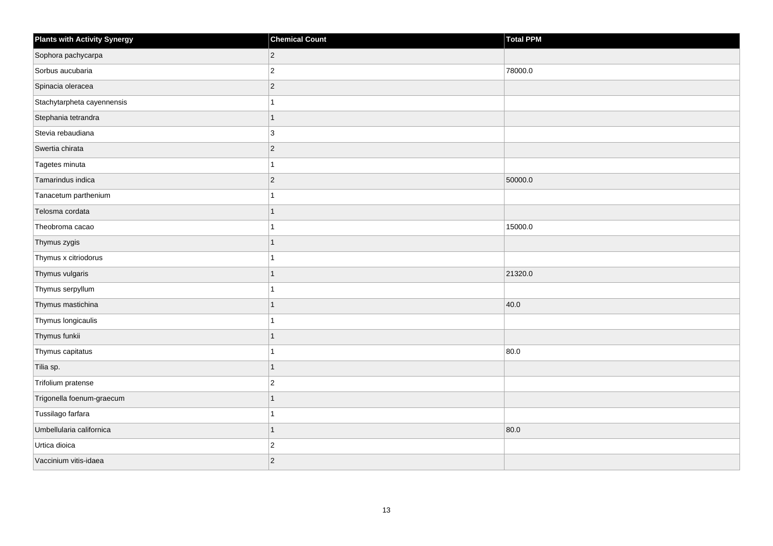| <b>Plants with Activity Synergy</b> | <b>Chemical Count</b> | <b>Total PPM</b> |
|-------------------------------------|-----------------------|------------------|
| Sophora pachycarpa                  | $\overline{2}$        |                  |
| Sorbus aucubaria                    | $\overline{2}$        | 78000.0          |
| Spinacia oleracea                   | $\overline{2}$        |                  |
| Stachytarpheta cayennensis          |                       |                  |
| Stephania tetrandra                 | 1                     |                  |
| Stevia rebaudiana                   | 3                     |                  |
| Swertia chirata                     | $\overline{2}$        |                  |
| Tagetes minuta                      |                       |                  |
| Tamarindus indica                   | $\overline{c}$        | 50000.0          |
| Tanacetum parthenium                |                       |                  |
| Telosma cordata                     |                       |                  |
| Theobroma cacao                     |                       | 15000.0          |
| Thymus zygis                        | 1                     |                  |
| Thymus x citriodorus                |                       |                  |
| Thymus vulgaris                     |                       | 21320.0          |
| Thymus serpyllum                    |                       |                  |
| Thymus mastichina                   |                       | 40.0             |
| Thymus longicaulis                  |                       |                  |
| Thymus funkii                       | 1                     |                  |
| Thymus capitatus                    |                       | 80.0             |
| Tilia sp.                           |                       |                  |
| Trifolium pratense                  | $\overline{2}$        |                  |
| Trigonella foenum-graecum           |                       |                  |
| Tussilago farfara                   |                       |                  |
| Umbellularia californica            | 1                     | 80.0             |
| Urtica dioica                       | $\overline{c}$        |                  |
| Vaccinium vitis-idaea               | $\overline{2}$        |                  |